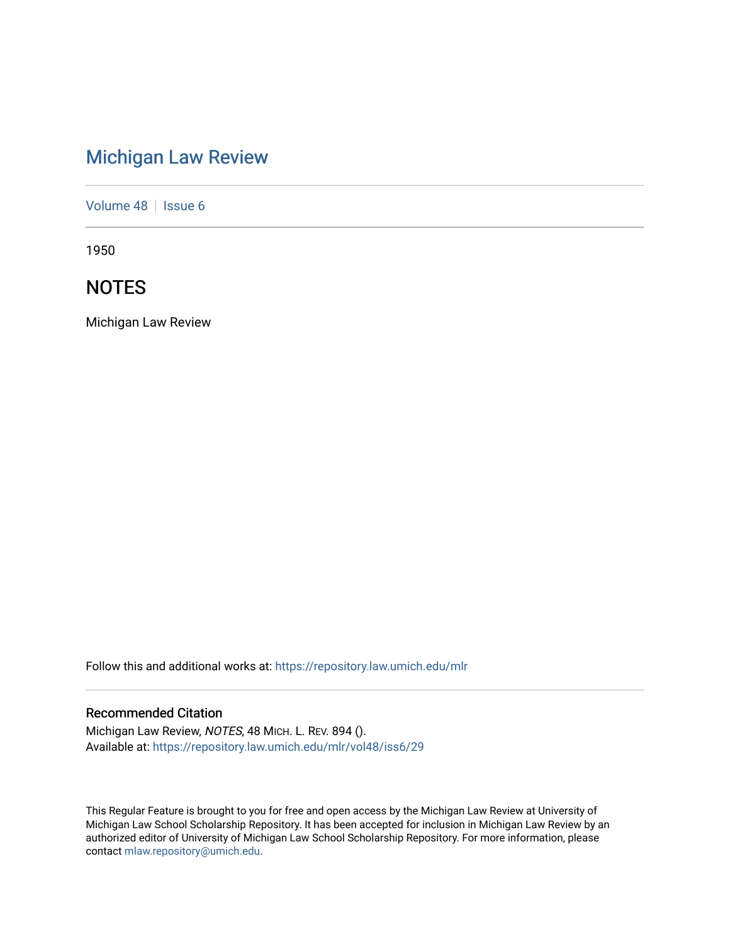# [Michigan Law Review](https://repository.law.umich.edu/mlr)

[Volume 48](https://repository.law.umich.edu/mlr/vol48) | [Issue 6](https://repository.law.umich.edu/mlr/vol48/iss6)

1950

## **NOTES**

Michigan Law Review

Follow this and additional works at: [https://repository.law.umich.edu/mlr](https://repository.law.umich.edu/mlr?utm_source=repository.law.umich.edu%2Fmlr%2Fvol48%2Fiss6%2F29&utm_medium=PDF&utm_campaign=PDFCoverPages) 

### Recommended Citation

Michigan Law Review, NOTES, 48 MICH. L. REV. 894 (). Available at: [https://repository.law.umich.edu/mlr/vol48/iss6/29](https://repository.law.umich.edu/mlr/vol48/iss6/29?utm_source=repository.law.umich.edu%2Fmlr%2Fvol48%2Fiss6%2F29&utm_medium=PDF&utm_campaign=PDFCoverPages) 

This Regular Feature is brought to you for free and open access by the Michigan Law Review at University of Michigan Law School Scholarship Repository. It has been accepted for inclusion in Michigan Law Review by an authorized editor of University of Michigan Law School Scholarship Repository. For more information, please contact [mlaw.repository@umich.edu](mailto:mlaw.repository@umich.edu).